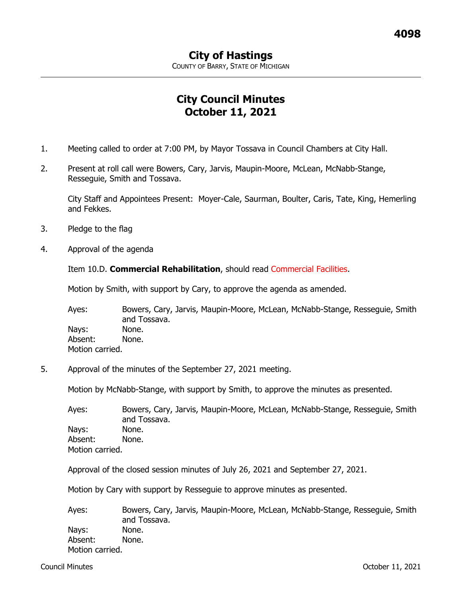COUNTY OF BARRY, STATE OF MICHIGAN

## **City Council Minutes October 11, 2021**

- 1. Meeting called to order at 7:00 PM, by Mayor Tossava in Council Chambers at City Hall.
- 2. Present at roll call were Bowers, Cary, Jarvis, Maupin-Moore, McLean, McNabb-Stange, Resseguie, Smith and Tossava.

City Staff and Appointees Present: Moyer-Cale, Saurman, Boulter, Caris, Tate, King, Hemerling and Fekkes.

- 3. Pledge to the flag
- 4. Approval of the agenda

Item 10.D. **Commercial Rehabilitation**, should read Commercial Facilities.

Motion by Smith, with support by Cary, to approve the agenda as amended.

Ayes: Bowers, Cary, Jarvis, Maupin-Moore, McLean, McNabb-Stange, Resseguie, Smith and Tossava. Nays: None. Absent: None. Motion carried.

5. Approval of the minutes of the September 27, 2021 meeting.

Motion by McNabb-Stange, with support by Smith, to approve the minutes as presented.

Ayes: Bowers, Cary, Jarvis, Maupin-Moore, McLean, McNabb-Stange, Resseguie, Smith and Tossava. Nays: None. Absent: None. Motion carried.

Approval of the closed session minutes of July 26, 2021 and September 27, 2021.

Motion by Cary with support by Resseguie to approve minutes as presented.

Ayes: Bowers, Cary, Jarvis, Maupin-Moore, McLean, McNabb-Stange, Resseguie, Smith and Tossava. Nays: None. Absent: None. Motion carried.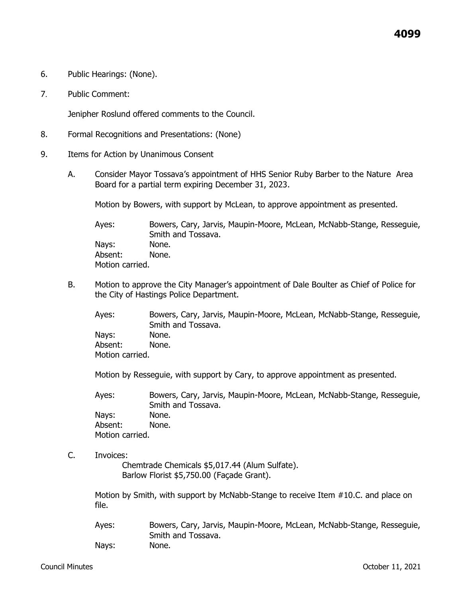- 6. Public Hearings: (None).
- 7. Public Comment:

Jenipher Roslund offered comments to the Council.

- 8. Formal Recognitions and Presentations: (None)
- 9. Items for Action by Unanimous Consent
	- A. Consider Mayor Tossava's appointment of HHS Senior Ruby Barber to the Nature Area Board for a partial term expiring December 31, 2023.

Motion by Bowers, with support by McLean, to approve appointment as presented.

Ayes: Bowers, Cary, Jarvis, Maupin-Moore, McLean, McNabb-Stange, Resseguie, Smith and Tossava. Nays: None. Absent: None. Motion carried.

B. Motion to approve the City Manager's appointment of Dale Boulter as Chief of Police for the City of Hastings Police Department.

Ayes: Bowers, Cary, Jarvis, Maupin-Moore, McLean, McNabb-Stange, Resseguie, Smith and Tossava. Nays: None. Absent: None. Motion carried.

Motion by Resseguie, with support by Cary, to approve appointment as presented.

Ayes: Bowers, Cary, Jarvis, Maupin-Moore, McLean, McNabb-Stange, Resseguie, Smith and Tossava. Nays: None. Absent: None. Motion carried.

C. Invoices:

Chemtrade Chemicals \$5,017.44 (Alum Sulfate). Barlow Florist \$5,750.00 (Façade Grant).

Motion by Smith, with support by McNabb-Stange to receive Item #10.C. and place on file.

Ayes: Bowers, Cary, Jarvis, Maupin-Moore, McLean, McNabb-Stange, Resseguie, Smith and Tossava. Nays: None.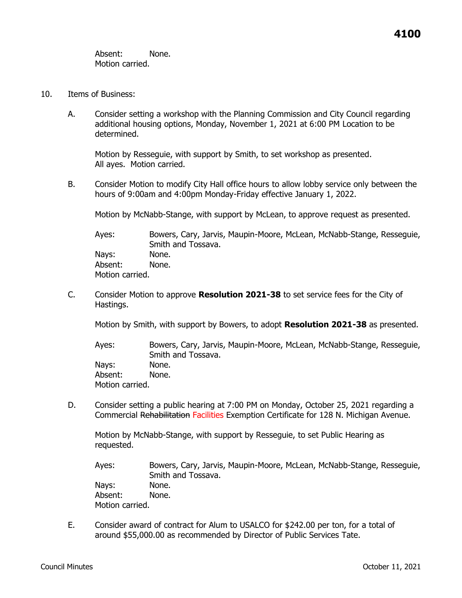Absent: None. Motion carried.

- 10. Items of Business:
	- A. Consider setting a workshop with the Planning Commission and City Council regarding additional housing options, Monday, November 1, 2021 at 6:00 PM Location to be determined.

Motion by Resseguie, with support by Smith, to set workshop as presented. All ayes. Motion carried.

B. Consider Motion to modify City Hall office hours to allow lobby service only between the hours of 9:00am and 4:00pm Monday-Friday effective January 1, 2022.

Motion by McNabb-Stange, with support by McLean, to approve request as presented.

Ayes: Bowers, Cary, Jarvis, Maupin-Moore, McLean, McNabb-Stange, Resseguie, Smith and Tossava. Nays: None. Absent: None. Motion carried.

C. Consider Motion to approve **Resolution 2021-38** to set service fees for the City of Hastings.

Motion by Smith, with support by Bowers, to adopt **Resolution 2021-38** as presented.

Ayes: Bowers, Cary, Jarvis, Maupin-Moore, McLean, McNabb-Stange, Resseguie, Smith and Tossava. Nays: None. Absent: None. Motion carried.

D. Consider setting a public hearing at 7:00 PM on Monday, October 25, 2021 regarding a Commercial Rehabilitation Facilities Exemption Certificate for 128 N. Michigan Avenue.

Motion by McNabb-Stange, with support by Resseguie, to set Public Hearing as requested.

Ayes: Bowers, Cary, Jarvis, Maupin-Moore, McLean, McNabb-Stange, Resseguie, Smith and Tossava. Nays: None.

Absent: None. Motion carried.

E. Consider award of contract for Alum to USALCO for \$242.00 per ton, for a total of around \$55,000.00 as recommended by Director of Public Services Tate.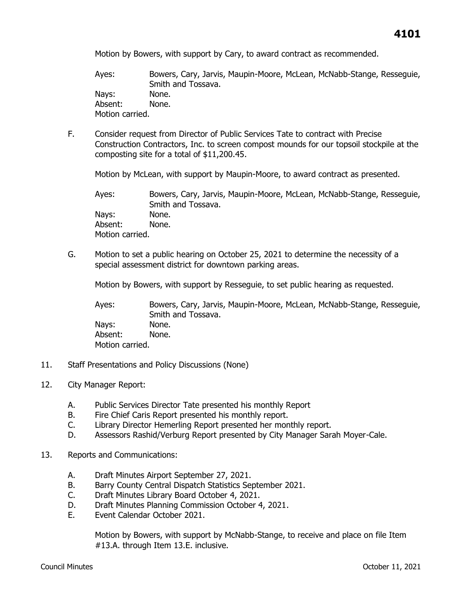Motion by Bowers, with support by Cary, to award contract as recommended.

Ayes: Bowers, Cary, Jarvis, Maupin-Moore, McLean, McNabb-Stange, Resseguie, Smith and Tossava. Nays: None. Absent: None. Motion carried.

F. Consider request from Director of Public Services Tate to contract with Precise Construction Contractors, Inc. to screen compost mounds for our topsoil stockpile at the composting site for a total of \$11,200.45.

Motion by McLean, with support by Maupin-Moore, to award contract as presented.

Ayes: Bowers, Cary, Jarvis, Maupin-Moore, McLean, McNabb-Stange, Resseguie, Smith and Tossava. Nays: None. Absent: None. Motion carried.

G. Motion to set a public hearing on October 25, 2021 to determine the necessity of a special assessment district for downtown parking areas.

Motion by Bowers, with support by Resseguie, to set public hearing as requested.

Ayes: Bowers, Cary, Jarvis, Maupin-Moore, McLean, McNabb-Stange, Resseguie, Smith and Tossava. Nays: None. Absent: None. Motion carried.

- 11. Staff Presentations and Policy Discussions (None)
- 12. City Manager Report:
	- A. Public Services Director Tate presented his monthly Report
	- B. Fire Chief Caris Report presented his monthly report.
	- C. Library Director Hemerling Report presented her monthly report.
	- D. Assessors Rashid/Verburg Report presented by City Manager Sarah Moyer-Cale.
- 13. Reports and Communications:
	- A. Draft Minutes Airport September 27, 2021.
	- B. Barry County Central Dispatch Statistics September 2021.
	- C. Draft Minutes Library Board October 4, 2021.
	- D. Draft Minutes Planning Commission October 4, 2021.
	- E. Event Calendar October 2021.

Motion by Bowers, with support by McNabb-Stange, to receive and place on file Item #13.A. through Item 13.E. inclusive.